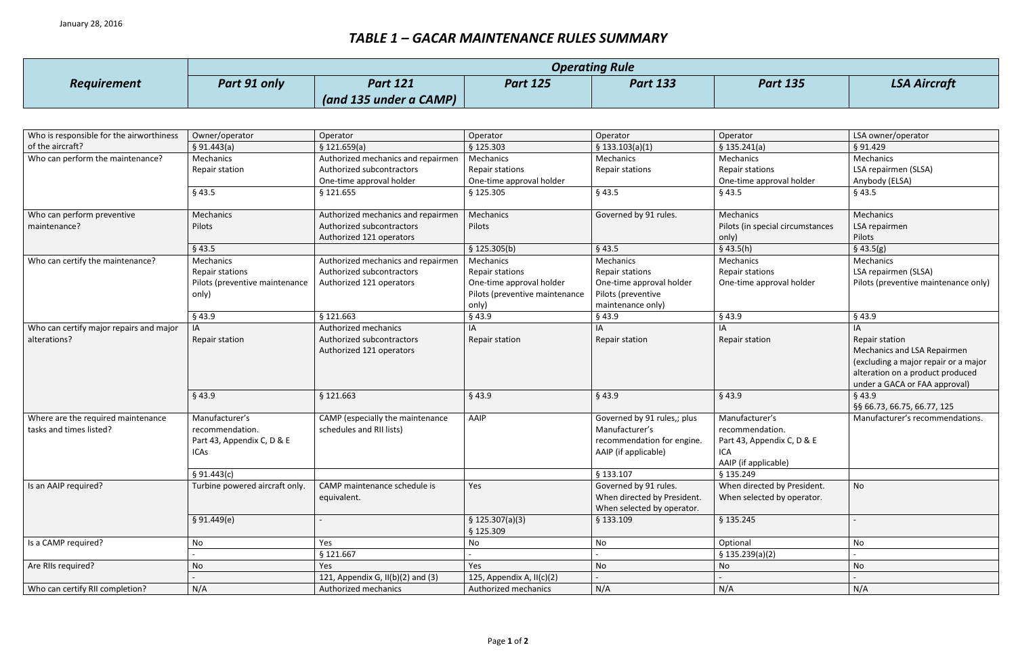## *TABLE 1 – GACAR MAINTENANCE RULES SUMMARY*

|                    | <b>Operating Rule</b> |                        |                 |                 |  |  |
|--------------------|-----------------------|------------------------|-----------------|-----------------|--|--|
| <b>Requirement</b> | Part 91 only          | <b>Part 121</b>        | <b>Part 125</b> | <b>Part 133</b> |  |  |
|                    |                       | (and 135 under a CAMP) |                 |                 |  |  |

## *Part 125 Part 133 Part 135 LSA Aircraft*

| Operator<br>LSA owner/operator<br>Who is responsible for the airworthiness<br>Owner/operator<br>Operator<br>Operator<br>Operator<br>of the aircraft?<br>\$121.659(a)<br>§ 125.303<br>\$133.103(a)(1)<br>\$135.241(a)<br>§ 91.429<br>§ 91.443(a)<br>Who can perform the maintenance?<br>Mechanics<br>Authorized mechanics and repairmen<br>Mechanics<br>Mechanics<br>Mechanics<br>Mechanics<br>LSA repairmen (SLSA)<br>Authorized subcontractors<br><b>Repair stations</b><br>Repair stations<br>Repair stations<br>Repair station<br>One-time approval holder<br>One-time approval holder<br>Anybody (ELSA)<br>One-time approval holder<br>$§$ 43.5<br>§ 121.655<br>§ 125.305<br>$§$ 43.5<br>$§$ 43.5<br>§43.5<br>Governed by 91 rules.<br>Mechanics<br>Who can perform preventive<br>Mechanics<br>Authorized mechanics and repairmen<br>Mechanics<br>Mechanics<br>Pilots<br>Pilots<br>Authorized subcontractors<br>Pilots (in special circumstances<br>maintenance?<br>LSA repairmen<br>Authorized 121 operators<br>Pilots<br>only)<br>$§$ 43.5<br>\$125.305(b)<br>$§$ 43.5<br>$§$ 43.5(h)<br>$§$ 43.5(g)<br>Who can certify the maintenance?<br>Mechanics<br>Mechanics<br>Authorized mechanics and repairmen<br>Mechanics<br>Mechanics<br>Mechanics<br>Repair stations<br>Authorized subcontractors<br>Repair stations<br>LSA repairmen (SLSA)<br>Repair stations<br>Repair stations<br>Pilots (preventive maintenance<br>Authorized 121 operators<br>One-time approval holder<br>One-time approval holder<br>One-time approval holder<br>Pilots (preventive maintenance only)<br>Pilots (preventive maintenance<br>only)<br>Pilots (preventive<br>only)<br>maintenance only)<br>$§$ 43.9<br>$§$ 43.9<br>§ 121.663<br>$§$ 43.9<br>§43.9<br>$§$ 43.9<br>Who can certify major repairs and major<br>Authorized mechanics<br>IA<br>IA<br>IA<br>IA<br>IA<br>alterations?<br>Repair station<br>Authorized subcontractors<br>Repair station<br><b>Repair station</b><br>Repair station<br>Repair station<br>Mechanics and LSA Repairmen<br>Authorized 121 operators |
|-----------------------------------------------------------------------------------------------------------------------------------------------------------------------------------------------------------------------------------------------------------------------------------------------------------------------------------------------------------------------------------------------------------------------------------------------------------------------------------------------------------------------------------------------------------------------------------------------------------------------------------------------------------------------------------------------------------------------------------------------------------------------------------------------------------------------------------------------------------------------------------------------------------------------------------------------------------------------------------------------------------------------------------------------------------------------------------------------------------------------------------------------------------------------------------------------------------------------------------------------------------------------------------------------------------------------------------------------------------------------------------------------------------------------------------------------------------------------------------------------------------------------------------------------------------------------------------------------------------------------------------------------------------------------------------------------------------------------------------------------------------------------------------------------------------------------------------------------------------------------------------------------------------------------------------------------------------------------------------------------------------------------------------------------------------------|
|                                                                                                                                                                                                                                                                                                                                                                                                                                                                                                                                                                                                                                                                                                                                                                                                                                                                                                                                                                                                                                                                                                                                                                                                                                                                                                                                                                                                                                                                                                                                                                                                                                                                                                                                                                                                                                                                                                                                                                                                                                                                 |
|                                                                                                                                                                                                                                                                                                                                                                                                                                                                                                                                                                                                                                                                                                                                                                                                                                                                                                                                                                                                                                                                                                                                                                                                                                                                                                                                                                                                                                                                                                                                                                                                                                                                                                                                                                                                                                                                                                                                                                                                                                                                 |
|                                                                                                                                                                                                                                                                                                                                                                                                                                                                                                                                                                                                                                                                                                                                                                                                                                                                                                                                                                                                                                                                                                                                                                                                                                                                                                                                                                                                                                                                                                                                                                                                                                                                                                                                                                                                                                                                                                                                                                                                                                                                 |
|                                                                                                                                                                                                                                                                                                                                                                                                                                                                                                                                                                                                                                                                                                                                                                                                                                                                                                                                                                                                                                                                                                                                                                                                                                                                                                                                                                                                                                                                                                                                                                                                                                                                                                                                                                                                                                                                                                                                                                                                                                                                 |
|                                                                                                                                                                                                                                                                                                                                                                                                                                                                                                                                                                                                                                                                                                                                                                                                                                                                                                                                                                                                                                                                                                                                                                                                                                                                                                                                                                                                                                                                                                                                                                                                                                                                                                                                                                                                                                                                                                                                                                                                                                                                 |
|                                                                                                                                                                                                                                                                                                                                                                                                                                                                                                                                                                                                                                                                                                                                                                                                                                                                                                                                                                                                                                                                                                                                                                                                                                                                                                                                                                                                                                                                                                                                                                                                                                                                                                                                                                                                                                                                                                                                                                                                                                                                 |
|                                                                                                                                                                                                                                                                                                                                                                                                                                                                                                                                                                                                                                                                                                                                                                                                                                                                                                                                                                                                                                                                                                                                                                                                                                                                                                                                                                                                                                                                                                                                                                                                                                                                                                                                                                                                                                                                                                                                                                                                                                                                 |
|                                                                                                                                                                                                                                                                                                                                                                                                                                                                                                                                                                                                                                                                                                                                                                                                                                                                                                                                                                                                                                                                                                                                                                                                                                                                                                                                                                                                                                                                                                                                                                                                                                                                                                                                                                                                                                                                                                                                                                                                                                                                 |
|                                                                                                                                                                                                                                                                                                                                                                                                                                                                                                                                                                                                                                                                                                                                                                                                                                                                                                                                                                                                                                                                                                                                                                                                                                                                                                                                                                                                                                                                                                                                                                                                                                                                                                                                                                                                                                                                                                                                                                                                                                                                 |
|                                                                                                                                                                                                                                                                                                                                                                                                                                                                                                                                                                                                                                                                                                                                                                                                                                                                                                                                                                                                                                                                                                                                                                                                                                                                                                                                                                                                                                                                                                                                                                                                                                                                                                                                                                                                                                                                                                                                                                                                                                                                 |
|                                                                                                                                                                                                                                                                                                                                                                                                                                                                                                                                                                                                                                                                                                                                                                                                                                                                                                                                                                                                                                                                                                                                                                                                                                                                                                                                                                                                                                                                                                                                                                                                                                                                                                                                                                                                                                                                                                                                                                                                                                                                 |
|                                                                                                                                                                                                                                                                                                                                                                                                                                                                                                                                                                                                                                                                                                                                                                                                                                                                                                                                                                                                                                                                                                                                                                                                                                                                                                                                                                                                                                                                                                                                                                                                                                                                                                                                                                                                                                                                                                                                                                                                                                                                 |
|                                                                                                                                                                                                                                                                                                                                                                                                                                                                                                                                                                                                                                                                                                                                                                                                                                                                                                                                                                                                                                                                                                                                                                                                                                                                                                                                                                                                                                                                                                                                                                                                                                                                                                                                                                                                                                                                                                                                                                                                                                                                 |
|                                                                                                                                                                                                                                                                                                                                                                                                                                                                                                                                                                                                                                                                                                                                                                                                                                                                                                                                                                                                                                                                                                                                                                                                                                                                                                                                                                                                                                                                                                                                                                                                                                                                                                                                                                                                                                                                                                                                                                                                                                                                 |
|                                                                                                                                                                                                                                                                                                                                                                                                                                                                                                                                                                                                                                                                                                                                                                                                                                                                                                                                                                                                                                                                                                                                                                                                                                                                                                                                                                                                                                                                                                                                                                                                                                                                                                                                                                                                                                                                                                                                                                                                                                                                 |
|                                                                                                                                                                                                                                                                                                                                                                                                                                                                                                                                                                                                                                                                                                                                                                                                                                                                                                                                                                                                                                                                                                                                                                                                                                                                                                                                                                                                                                                                                                                                                                                                                                                                                                                                                                                                                                                                                                                                                                                                                                                                 |
|                                                                                                                                                                                                                                                                                                                                                                                                                                                                                                                                                                                                                                                                                                                                                                                                                                                                                                                                                                                                                                                                                                                                                                                                                                                                                                                                                                                                                                                                                                                                                                                                                                                                                                                                                                                                                                                                                                                                                                                                                                                                 |
|                                                                                                                                                                                                                                                                                                                                                                                                                                                                                                                                                                                                                                                                                                                                                                                                                                                                                                                                                                                                                                                                                                                                                                                                                                                                                                                                                                                                                                                                                                                                                                                                                                                                                                                                                                                                                                                                                                                                                                                                                                                                 |
| (excluding a major repair or a major                                                                                                                                                                                                                                                                                                                                                                                                                                                                                                                                                                                                                                                                                                                                                                                                                                                                                                                                                                                                                                                                                                                                                                                                                                                                                                                                                                                                                                                                                                                                                                                                                                                                                                                                                                                                                                                                                                                                                                                                                            |
| alteration on a product produced                                                                                                                                                                                                                                                                                                                                                                                                                                                                                                                                                                                                                                                                                                                                                                                                                                                                                                                                                                                                                                                                                                                                                                                                                                                                                                                                                                                                                                                                                                                                                                                                                                                                                                                                                                                                                                                                                                                                                                                                                                |
| under a GACA or FAA approval)                                                                                                                                                                                                                                                                                                                                                                                                                                                                                                                                                                                                                                                                                                                                                                                                                                                                                                                                                                                                                                                                                                                                                                                                                                                                                                                                                                                                                                                                                                                                                                                                                                                                                                                                                                                                                                                                                                                                                                                                                                   |
| $§$ 43.9<br>§ 121.663<br>$§$ 43.9<br>$§$ 43.9<br>$§$ 43.9<br>§43.9                                                                                                                                                                                                                                                                                                                                                                                                                                                                                                                                                                                                                                                                                                                                                                                                                                                                                                                                                                                                                                                                                                                                                                                                                                                                                                                                                                                                                                                                                                                                                                                                                                                                                                                                                                                                                                                                                                                                                                                              |
| §§ 66.73, 66.75, 66.77, 125                                                                                                                                                                                                                                                                                                                                                                                                                                                                                                                                                                                                                                                                                                                                                                                                                                                                                                                                                                                                                                                                                                                                                                                                                                                                                                                                                                                                                                                                                                                                                                                                                                                                                                                                                                                                                                                                                                                                                                                                                                     |
| Manufacturer's<br>Manufacturer's<br>Where are the required maintenance<br>CAMP (especially the maintenance<br>AAIP<br>Governed by 91 rules,; plus<br>Manufacturer's recommendations.                                                                                                                                                                                                                                                                                                                                                                                                                                                                                                                                                                                                                                                                                                                                                                                                                                                                                                                                                                                                                                                                                                                                                                                                                                                                                                                                                                                                                                                                                                                                                                                                                                                                                                                                                                                                                                                                            |
| Manufacturer's<br>recommendation.<br>tasks and times listed?<br>recommendation.<br>schedules and RII lists)                                                                                                                                                                                                                                                                                                                                                                                                                                                                                                                                                                                                                                                                                                                                                                                                                                                                                                                                                                                                                                                                                                                                                                                                                                                                                                                                                                                                                                                                                                                                                                                                                                                                                                                                                                                                                                                                                                                                                     |
| recommendation for engine.<br>Part 43, Appendix C, D & E<br>Part 43, Appendix C, D & E                                                                                                                                                                                                                                                                                                                                                                                                                                                                                                                                                                                                                                                                                                                                                                                                                                                                                                                                                                                                                                                                                                                                                                                                                                                                                                                                                                                                                                                                                                                                                                                                                                                                                                                                                                                                                                                                                                                                                                          |
| AAIP (if applicable)<br><b>ICAs</b><br>ICA                                                                                                                                                                                                                                                                                                                                                                                                                                                                                                                                                                                                                                                                                                                                                                                                                                                                                                                                                                                                                                                                                                                                                                                                                                                                                                                                                                                                                                                                                                                                                                                                                                                                                                                                                                                                                                                                                                                                                                                                                      |
| AAIP (if applicable)                                                                                                                                                                                                                                                                                                                                                                                                                                                                                                                                                                                                                                                                                                                                                                                                                                                                                                                                                                                                                                                                                                                                                                                                                                                                                                                                                                                                                                                                                                                                                                                                                                                                                                                                                                                                                                                                                                                                                                                                                                            |
| § 133.107<br>\$135.249<br>§ 91.443(c)                                                                                                                                                                                                                                                                                                                                                                                                                                                                                                                                                                                                                                                                                                                                                                                                                                                                                                                                                                                                                                                                                                                                                                                                                                                                                                                                                                                                                                                                                                                                                                                                                                                                                                                                                                                                                                                                                                                                                                                                                           |
| CAMP maintenance schedule is<br>Governed by 91 rules.<br>When directed by President.<br><b>No</b><br>Is an AAIP required?<br>Turbine powered aircraft only.<br>Yes                                                                                                                                                                                                                                                                                                                                                                                                                                                                                                                                                                                                                                                                                                                                                                                                                                                                                                                                                                                                                                                                                                                                                                                                                                                                                                                                                                                                                                                                                                                                                                                                                                                                                                                                                                                                                                                                                              |
| When directed by President.<br>When selected by operator.<br>equivalent.                                                                                                                                                                                                                                                                                                                                                                                                                                                                                                                                                                                                                                                                                                                                                                                                                                                                                                                                                                                                                                                                                                                                                                                                                                                                                                                                                                                                                                                                                                                                                                                                                                                                                                                                                                                                                                                                                                                                                                                        |
| When selected by operator.                                                                                                                                                                                                                                                                                                                                                                                                                                                                                                                                                                                                                                                                                                                                                                                                                                                                                                                                                                                                                                                                                                                                                                                                                                                                                                                                                                                                                                                                                                                                                                                                                                                                                                                                                                                                                                                                                                                                                                                                                                      |
| \$135.245<br>\$91.449(e)<br>\$125.307(a)(3)<br>§ 133.109                                                                                                                                                                                                                                                                                                                                                                                                                                                                                                                                                                                                                                                                                                                                                                                                                                                                                                                                                                                                                                                                                                                                                                                                                                                                                                                                                                                                                                                                                                                                                                                                                                                                                                                                                                                                                                                                                                                                                                                                        |
| § 125.309                                                                                                                                                                                                                                                                                                                                                                                                                                                                                                                                                                                                                                                                                                                                                                                                                                                                                                                                                                                                                                                                                                                                                                                                                                                                                                                                                                                                                                                                                                                                                                                                                                                                                                                                                                                                                                                                                                                                                                                                                                                       |
| Is a CAMP required?<br>Optional<br>No<br>No<br>Yes<br>No<br>No                                                                                                                                                                                                                                                                                                                                                                                                                                                                                                                                                                                                                                                                                                                                                                                                                                                                                                                                                                                                                                                                                                                                                                                                                                                                                                                                                                                                                                                                                                                                                                                                                                                                                                                                                                                                                                                                                                                                                                                                  |
| § 121.667<br>\$135.239(a)(2)                                                                                                                                                                                                                                                                                                                                                                                                                                                                                                                                                                                                                                                                                                                                                                                                                                                                                                                                                                                                                                                                                                                                                                                                                                                                                                                                                                                                                                                                                                                                                                                                                                                                                                                                                                                                                                                                                                                                                                                                                                    |
| Are RIIs required?<br>No<br>No<br>Yes<br>No<br>Yes<br>No                                                                                                                                                                                                                                                                                                                                                                                                                                                                                                                                                                                                                                                                                                                                                                                                                                                                                                                                                                                                                                                                                                                                                                                                                                                                                                                                                                                                                                                                                                                                                                                                                                                                                                                                                                                                                                                                                                                                                                                                        |
| 121, Appendix G, $II(b)(2)$ and $(3)$<br>125, Appendix A, II(c)(2)                                                                                                                                                                                                                                                                                                                                                                                                                                                                                                                                                                                                                                                                                                                                                                                                                                                                                                                                                                                                                                                                                                                                                                                                                                                                                                                                                                                                                                                                                                                                                                                                                                                                                                                                                                                                                                                                                                                                                                                              |
| Who can certify RII completion?<br>N/A<br>Authorized mechanics<br>N/A<br>Authorized mechanics<br>N/A<br>N/A                                                                                                                                                                                                                                                                                                                                                                                                                                                                                                                                                                                                                                                                                                                                                                                                                                                                                                                                                                                                                                                                                                                                                                                                                                                                                                                                                                                                                                                                                                                                                                                                                                                                                                                                                                                                                                                                                                                                                     |